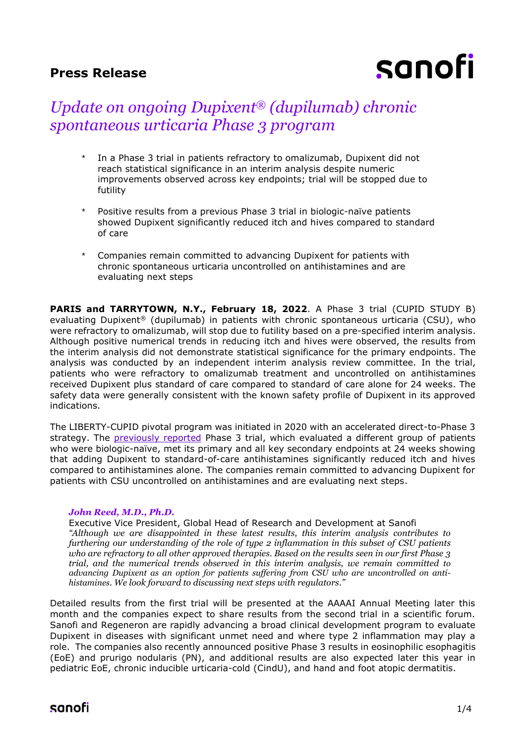# **Press Release**

# sanofi

# *Update on ongoing Dupixent® (dupilumab) chronic spontaneous urticaria Phase 3 program*

- In a Phase 3 trial in patients refractory to omalizumab, Dupixent did not reach statistical significance in an interim analysis despite numeric improvements observed across key endpoints; trial will be stopped due to futility
- Positive results from a previous Phase 3 trial in biologic-naïve patients showed Dupixent significantly reduced itch and hives compared to standard of care
- Companies remain committed to advancing Dupixent for patients with chronic spontaneous urticaria uncontrolled on antihistamines and are evaluating next steps

**PARIS and TARRYTOWN, N.Y., February 18, 2022**. A Phase 3 trial (CUPID STUDY B) evaluating Dupixent® (dupilumab) in patients with chronic spontaneous urticaria (CSU), who were refractory to omalizumab, will stop due to futility based on a pre-specified interim analysis. Although positive numerical trends in reducing itch and hives were observed, the results from the interim analysis did not demonstrate statistical significance for the primary endpoints. The analysis was conducted by an independent interim analysis review committee. In the trial, patients who were refractory to omalizumab treatment and uncontrolled on antihistamines received Dupixent plus standard of care compared to standard of care alone for 24 weeks. The safety data were generally consistent with the known safety profile of Dupixent in its approved indications.

The LIBERTY-CUPID pivotal program was initiated in 2020 with an accelerated direct-to-Phase 3 strategy. The [previously reported](https://www.sanofi.com/en/media-room/press-releases/2021/2021-07-29-07-00-00-2270858) Phase 3 trial, which evaluated a different group of patients who were biologic-naïve, met its primary and all key secondary endpoints at 24 weeks showing that adding Dupixent to standard-of-care antihistamines significantly reduced itch and hives compared to antihistamines alone. The companies remain committed to advancing Dupixent for patients with CSU uncontrolled on antihistamines and are evaluating next steps.

#### *John Reed, M.D., Ph.D.*

Executive Vice President, Global Head of Research and Development at Sanofi *"Although we are disappointed in these latest results, this interim analysis contributes to furthering our understanding of the role of type 2 inflammation in this subset of CSU patients who are refractory to all other approved therapies. Based on the results seen in our first Phase 3 trial, and the numerical trends observed in this interim analysis, we remain committed to advancing Dupixent as an option for patients suffering from CSU who are uncontrolled on antihistamines. We look forward to discussing next steps with regulators."*

Detailed results from the first trial will be presented at the AAAAI Annual Meeting later this month and the companies expect to share results from the second trial in a scientific forum. Sanofi and Regeneron are rapidly advancing a broad clinical development program to evaluate Dupixent in diseases with significant unmet need and where type 2 inflammation may play a role. The companies also recently announced positive Phase 3 results in eosinophilic esophagitis (EoE) and prurigo nodularis (PN), and additional results are also expected later this year in pediatric EoE, chronic inducible urticaria-cold (CindU), and hand and foot atopic dermatitis.

# sanofi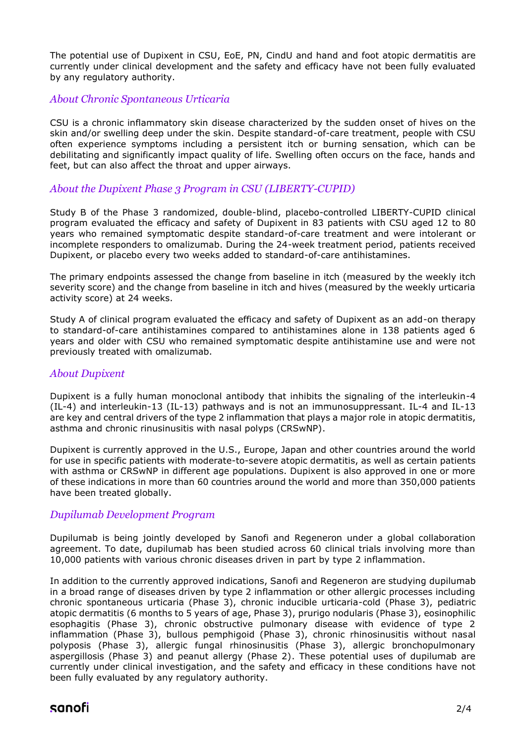The potential use of Dupixent in CSU, EoE, PN, CindU and hand and foot atopic dermatitis are currently under clinical development and the safety and efficacy have not been fully evaluated by any regulatory authority.

## *About Chronic Spontaneous Urticaria*

CSU is a chronic inflammatory skin disease characterized by the sudden onset of hives on the skin and/or swelling deep under the skin. Despite standard-of-care treatment, people with CSU often experience symptoms including a persistent itch or burning sensation, which can be debilitating and significantly impact quality of life. Swelling often occurs on the face, hands and feet, but can also affect the throat and upper airways.

# *About the Dupixent Phase 3 Program in CSU (LIBERTY-CUPID)*

Study B of the Phase 3 randomized, double-blind, placebo-controlled LIBERTY-CUPID clinical program evaluated the efficacy and safety of Dupixent in 83 patients with CSU aged 12 to 80 years who remained symptomatic despite standard-of-care treatment and were intolerant or incomplete responders to omalizumab. During the 24-week treatment period, patients received Dupixent, or placebo every two weeks added to standard-of-care antihistamines.

The primary endpoints assessed the change from baseline in itch (measured by the weekly itch severity score) and the change from baseline in itch and hives (measured by the weekly urticaria activity score) at 24 weeks.

Study A of clinical program evaluated the efficacy and safety of Dupixent as an add-on therapy to standard-of-care antihistamines compared to antihistamines alone in 138 patients aged 6 years and older with CSU who remained symptomatic despite antihistamine use and were not previously treated with omalizumab.

### *About Dupixent*

Dupixent is a fully human monoclonal antibody that inhibits the signaling of the interleukin-4 (IL-4) and interleukin-13 (IL-13) pathways and is not an immunosuppressant. IL-4 and IL-13 are key and central drivers of the type 2 inflammation that plays a major role in atopic dermatitis, asthma and chronic rinusinusitis with nasal polyps (CRSwNP).

Dupixent is currently approved in the U.S., Europe, Japan and other countries around the world for use in specific patients with moderate-to-severe atopic dermatitis, as well as certain patients with asthma or CRSwNP in different age populations. Dupixent is also approved in one or more of these indications in more than 60 countries around the world and more than 350,000 patients have been treated globally.

### *Dupilumab Development Program*

Dupilumab is being jointly developed by Sanofi and Regeneron under a global collaboration agreement. To date, dupilumab has been studied across 60 clinical trials involving more than 10,000 patients with various chronic diseases driven in part by type 2 inflammation.

In addition to the currently approved indications, Sanofi and Regeneron are studying dupilumab in a broad range of diseases driven by type 2 inflammation or other allergic processes including chronic spontaneous urticaria (Phase 3), chronic inducible urticaria-cold (Phase 3), pediatric atopic dermatitis (6 months to 5 years of age, Phase 3), prurigo nodularis (Phase 3), eosinophilic esophagitis (Phase 3), chronic obstructive pulmonary disease with evidence of type 2 inflammation (Phase 3), bullous pemphigoid (Phase 3), chronic rhinosinusitis without nasal polyposis (Phase 3), allergic fungal rhinosinusitis (Phase 3), allergic bronchopulmonary aspergillosis (Phase 3) and peanut allergy (Phase 2). These potential uses of dupilumab are currently under clinical investigation, and the safety and efficacy in these conditions have not been fully evaluated by any regulatory authority.

# sanofi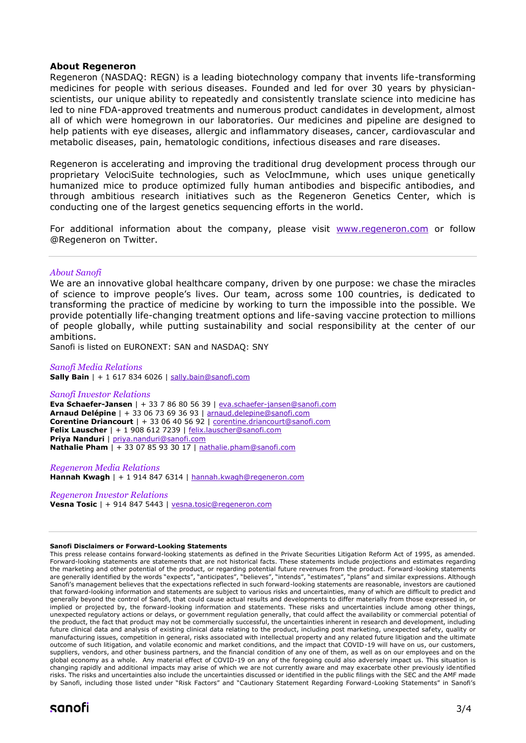#### **About Regeneron**

Regeneron (NASDAQ: REGN) is a leading biotechnology company that invents life-transforming medicines for people with serious diseases. Founded and led for over 30 years by physicianscientists, our unique ability to repeatedly and consistently translate science into medicine has led to nine FDA-approved treatments and numerous product candidates in development, almost all of which were homegrown in our laboratories. Our medicines and pipeline are designed to help patients with eye diseases, allergic and inflammatory diseases, cancer, cardiovascular and metabolic diseases, pain, hematologic conditions, infectious diseases and rare diseases.

Regeneron is accelerating and improving the traditional drug development process through our proprietary VelociSuite technologies, such as VelocImmune, which uses unique genetically humanized mice to produce optimized fully human antibodies and bispecific antibodies, and through ambitious research initiatives such as the Regeneron Genetics Center, which is conducting one of the largest genetics sequencing efforts in the world.

For additional information about the company, please visit [www.regeneron.com](http://www.regeneron.com/) or follow @Regeneron on Twitter.

#### *About Sanofi*

We are an innovative global healthcare company, driven by one purpose: we chase the miracles of science to improve people's lives. Our team, across some 100 countries, is dedicated to transforming the practice of medicine by working to turn the impossible into the possible. We provide potentially life-changing treatment options and life-saving vaccine protection to millions of people globally, while putting sustainability and social responsibility at the center of our ambitions.

Sanofi is listed on EURONEXT: SAN and NASDAQ: SNY

#### *Sanofi Media Relations*

**Sally Bain** | + 1 617 834 6026 | [sally.bain@sanofi.com](mailto:sally.bain@sanofi.com)

#### *Sanofi Investor Relations*

**Eva Schaefer-Jansen** | + 33 7 86 80 56 39 | [eva.schaefer-jansen@sanofi.com](mailto:eva.schaefer-jansen@sanofi.com) **Arnaud Delépine** | + 33 06 73 69 36 93 | [arnaud.delepine@sanofi.com](mailto:arnaud.delepine@sanofi.com) **Corentine Driancourt** | + 33 06 40 56 92 | [corentine.driancourt@sanofi.com](mailto:corentine.driancourt@sanofi.com) **Felix Lauscher** | + 1 908 612 7239 | [felix.lauscher@sanofi.com](mailto:felix.lauscher@sanofi.com) **Priya Nanduri** | [priya.nanduri@sanofi.com](mailto:priya.nanduri@sanofi.com) **Nathalie Pham** | + 33 07 85 93 30 17 | [nathalie.pham@sanofi.com](mailto:nathalie.pham@sanofi.com)

*Regeneron Media Relations* **Hannah Kwagh** | + 1 914 847 6314 | [hannah.kwagh@regeneron.com](mailto:hannah.kwagh@regeneron.com) 

*Regeneron Investor Relations* **Vesna Tosic** | + 914 847 5443 | [vesna.tosic@regeneron.com](mailto:vesna.tosic@regeneron.com)

#### **Sanofi Disclaimers or Forward-Looking Statements**

This press release contains forward-looking statements as defined in the Private Securities Litigation Reform Act of 1995, as amended. Forward-looking statements are statements that are not historical facts. These statements include projections and estimates regarding the marketing and other potential of the product, or regarding potential future revenues from the product. Forward-looking statements are generally identified by the words "expects", "anticipates", "believes", "intends", "estimates", "plans" and similar expressions. Although Sanofi's management believes that the expectations reflected in such forward-looking statements are reasonable, investors are cautioned that forward-looking information and statements are subject to various risks and uncertainties, many of which are difficult to predict and generally beyond the control of Sanofi, that could cause actual results and developments to differ materially from those expressed in, or implied or projected by, the forward-looking information and statements. These risks and uncertainties include among other things, unexpected regulatory actions or delays, or government regulation generally, that could affect the availability or commercial potential of the product, the fact that product may not be commercially successful, the uncertainties inherent in research and development, including future clinical data and analysis of existing clinical data relating to the product, including post marketing, unexpected safety, quality or manufacturing issues, competition in general, risks associated with intellectual property and any related future litigation and the ultimate outcome of such litigation, and volatile economic and market conditions, and the impact that COVID-19 will have on us, our customers, suppliers, vendors, and other business partners, and the financial condition of any one of them, as well as on our employees and on the global economy as a whole. Any material effect of COVID-19 on any of the foregoing could also adversely impact us. This situation is changing rapidly and additional impacts may arise of which we are not currently aware and may exacerbate other previously identified risks. The risks and uncertainties also include the uncertainties discussed or identified in the public filings with the SEC and the AMF made by Sanofi, including those listed under "Risk Factors" and "Cautionary Statement Regarding Forward-Looking Statements" in Sanofi's